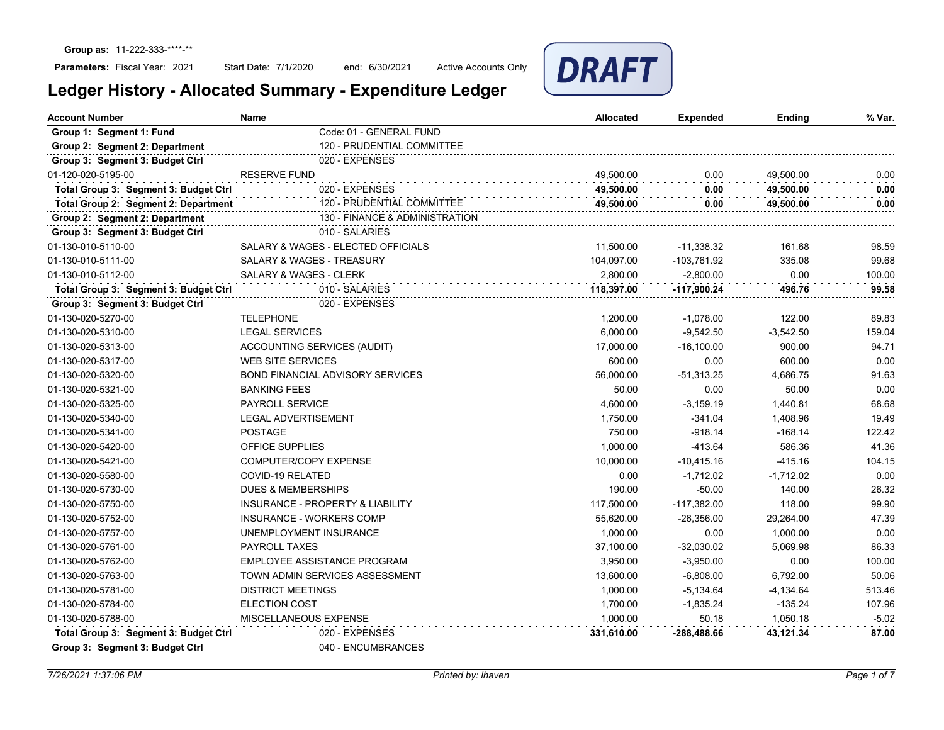Start Date: 7/1/2020 end: 6/30/2021 Active Accounts Only



| <b>Account Number</b>                 | <b>Name</b>                                 | <b>Allocated</b> | Expended      | Ending      | % Var.  |
|---------------------------------------|---------------------------------------------|------------------|---------------|-------------|---------|
| Group 1: Segment 1: Fund              | Code: 01 - GENERAL FUND                     |                  |               |             |         |
| Group 2: Segment 2: Department        | 120 - PRUDENTIAL COMMITTEE                  |                  |               |             |         |
| Group 3: Segment 3: Budget Ctrl       | 020 - EXPENSES                              |                  |               |             |         |
| 01-120-020-5195-00                    | <b>RESERVE FUND</b>                         | 49,500.00        | 0.00          | 49,500.00   | 0.00    |
| Total Group 3: Segment 3: Budget Ctrl | 020 - EXPENSES                              | 49.500.00        | 0.00          | 49.500.00   | 0.00    |
| Total Group 2: Segment 2: Department  | 120 - PRUDENTIAL COMMITTEE                  | 49,500.00        | 0.00          | 49,500.00   | 0.00    |
| Group 2: Segment 2: Department        | 130 - FINANCE & ADMINISTRATION              |                  |               |             |         |
| Group 3: Segment 3: Budget Ctrl       | 010 - SALARIES                              |                  |               |             |         |
| 01-130-010-5110-00                    | SALARY & WAGES - ELECTED OFFICIALS          | 11,500.00        | $-11,338.32$  | 161.68      | 98.59   |
| 01-130-010-5111-00                    | <b>SALARY &amp; WAGES - TREASURY</b>        | 104.097.00       | -103,761.92   | 335.08      | 99.68   |
| 01-130-010-5112-00                    | <b>SALARY &amp; WAGES - CLERK</b>           | 2.800.00         | $-2.800.00$   | 0.00        | 100.00  |
| Total Group 3: Segment 3: Budget Ctrl | 010 - SALARIES                              | 118,397.00       | -117,900.24   | 496.76      | 99.58   |
| Group 3: Segment 3: Budget Ctrl       | 020 - EXPENSES                              |                  |               |             |         |
| 01-130-020-5270-00                    | <b>TELEPHONE</b>                            | 1,200.00         | $-1,078.00$   | 122.00      | 89.83   |
| 01-130-020-5310-00                    | <b>LEGAL SERVICES</b>                       | 6.000.00         | $-9,542.50$   | $-3,542.50$ | 159.04  |
| 01-130-020-5313-00                    | ACCOUNTING SERVICES (AUDIT)                 | 17,000.00        | $-16,100.00$  | 900.00      | 94.71   |
| 01-130-020-5317-00                    | <b>WEB SITE SERVICES</b>                    | 600.00           | 0.00          | 600.00      | 0.00    |
| 01-130-020-5320-00                    | <b>BOND FINANCIAL ADVISORY SERVICES</b>     | 56,000.00        | $-51,313.25$  | 4,686.75    | 91.63   |
| 01-130-020-5321-00                    | <b>BANKING FEES</b>                         | 50.00            | 0.00          | 50.00       | 0.00    |
| 01-130-020-5325-00                    | <b>PAYROLL SERVICE</b>                      | 4,600.00         | $-3,159.19$   | 1,440.81    | 68.68   |
| 01-130-020-5340-00                    | <b>LEGAL ADVERTISEMENT</b>                  | 1,750.00         | $-341.04$     | 1,408.96    | 19.49   |
| 01-130-020-5341-00                    | <b>POSTAGE</b>                              | 750.00           | $-918.14$     | $-168.14$   | 122.42  |
| 01-130-020-5420-00                    | <b>OFFICE SUPPLIES</b>                      | 1,000.00         | $-413.64$     | 586.36      | 41.36   |
| 01-130-020-5421-00                    | COMPUTER/COPY EXPENSE                       | 10,000.00        | $-10,415.16$  | $-415.16$   | 104.15  |
| 01-130-020-5580-00                    | <b>COVID-19 RELATED</b>                     | 0.00             | $-1,712.02$   | $-1,712.02$ | 0.00    |
| 01-130-020-5730-00                    | <b>DUES &amp; MEMBERSHIPS</b>               | 190.00           | $-50.00$      | 140.00      | 26.32   |
| 01-130-020-5750-00                    | <b>INSURANCE - PROPERTY &amp; LIABILITY</b> | 117,500.00       | $-117,382.00$ | 118.00      | 99.90   |
| 01-130-020-5752-00                    | <b>INSURANCE - WORKERS COMP</b>             | 55,620.00        | $-26,356.00$  | 29,264.00   | 47.39   |
| 01-130-020-5757-00                    | UNEMPLOYMENT INSURANCE                      | 1,000.00         | 0.00          | 1,000.00    | 0.00    |
| 01-130-020-5761-00                    | <b>PAYROLL TAXES</b>                        | 37,100.00        | $-32,030.02$  | 5,069.98    | 86.33   |
| 01-130-020-5762-00                    | EMPLOYEE ASSISTANCE PROGRAM                 | 3,950.00         | $-3,950.00$   | 0.00        | 100.00  |
| 01-130-020-5763-00                    | TOWN ADMIN SERVICES ASSESSMENT              | 13,600.00        | $-6,808.00$   | 6,792.00    | 50.06   |
| 01-130-020-5781-00                    | <b>DISTRICT MEETINGS</b>                    | 1,000.00         | $-5,134.64$   | -4,134.64   | 513.46  |
| 01-130-020-5784-00                    | <b>ELECTION COST</b>                        | 1,700.00         | $-1,835.24$   | $-135.24$   | 107.96  |
| 01-130-020-5788-00                    | MISCELLANEOUS EXPENSE                       | 1,000.00         | 50.18         | 1,050.18    | $-5.02$ |
| Total Group 3: Segment 3: Budget Ctrl | 020 - EXPENSES                              | 331,610.00       | -288,488.66   | 43,121.34   | 87.00   |
| Group 3: Segment 3: Budget Ctrl       | 040 - ENCUMBRANCES                          |                  |               |             |         |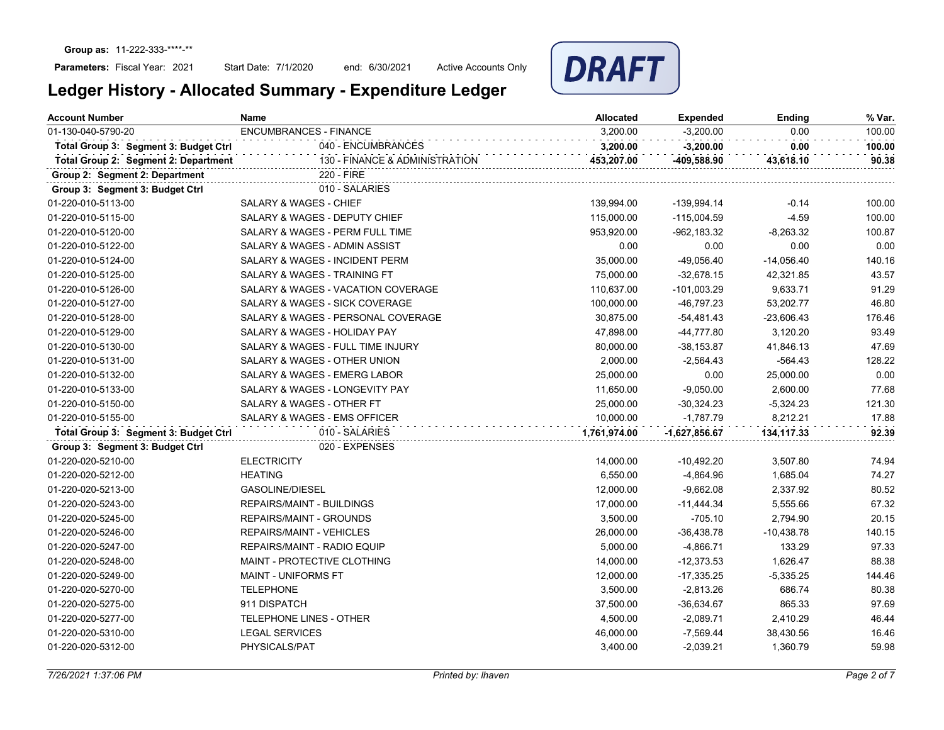Start Date: 7/1/2020 end: 6/30/2021 Active Accounts Only



| <b>Account Number</b>                 | <b>Name</b><br><b>Allocated</b>           |              | <b>Expended</b> | Ending       | % Var. |
|---------------------------------------|-------------------------------------------|--------------|-----------------|--------------|--------|
| 01-130-040-5790-20                    | <b>ENCUMBRANCES - FINANCE</b>             | 3,200.00     | $-3,200.00$     | 0.00         | 100.00 |
| Total Group 3: Segment 3: Budget Ctrl | 040 - ENCUMBRANCES                        | 3,200.00     | $-3,200.00$     | 0.00         | 100.00 |
| Total Group 2: Segment 2: Department  | 130 - FINANCE & ADMINISTRATION            | 453,207.00   | -409,588.90     | 43,618.10    | 90.38  |
| Group 2: Segment 2: Department        | 220 - FIRE                                |              |                 |              |        |
| Group 3: Segment 3: Budget Ctrl       | 010 - SALARIES                            |              |                 |              |        |
| 01-220-010-5113-00                    | <b>SALARY &amp; WAGES - CHIEF</b>         | 139,994.00   | -139,994.14     | $-0.14$      | 100.00 |
| 01-220-010-5115-00                    | SALARY & WAGES - DEPUTY CHIEF             | 115,000.00   | $-115,004.59$   | $-4.59$      | 100.00 |
| 01-220-010-5120-00                    | SALARY & WAGES - PERM FULL TIME           | 953,920.00   | -962,183.32     | $-8,263.32$  | 100.87 |
| 01-220-010-5122-00                    | SALARY & WAGES - ADMIN ASSIST             | 0.00         | 0.00            | 0.00         | 0.00   |
| 01-220-010-5124-00                    | <b>SALARY &amp; WAGES - INCIDENT PERM</b> | 35,000.00    | $-49,056.40$    | $-14,056.40$ | 140.16 |
| 01-220-010-5125-00                    | SALARY & WAGES - TRAINING FT              | 75,000.00    | $-32,678.15$    | 42,321.85    | 43.57  |
| 01-220-010-5126-00                    | SALARY & WAGES - VACATION COVERAGE        | 110,637.00   | $-101,003.29$   | 9,633.71     | 91.29  |
| 01-220-010-5127-00                    | SALARY & WAGES - SICK COVERAGE            | 100,000.00   | -46,797.23      | 53,202.77    | 46.80  |
| 01-220-010-5128-00                    | SALARY & WAGES - PERSONAL COVERAGE        | 30,875.00    | -54,481.43      | $-23,606.43$ | 176.46 |
| 01-220-010-5129-00                    | SALARY & WAGES - HOLIDAY PAY              | 47,898.00    | -44,777.80      | 3,120.20     | 93.49  |
| 01-220-010-5130-00                    | SALARY & WAGES - FULL TIME INJURY         | 80,000.00    | $-38,153.87$    | 41,846.13    | 47.69  |
| 01-220-010-5131-00                    | SALARY & WAGES - OTHER UNION              | 2,000.00     | $-2,564.43$     | $-564.43$    | 128.22 |
| 01-220-010-5132-00                    | SALARY & WAGES - EMERG LABOR              | 25,000.00    | 0.00            | 25,000.00    | 0.00   |
| 01-220-010-5133-00                    | SALARY & WAGES - LONGEVITY PAY            | 11,650.00    | $-9,050.00$     | 2,600.00     | 77.68  |
| 01-220-010-5150-00                    | SALARY & WAGES - OTHER FT                 | 25,000.00    | $-30,324.23$    | $-5,324.23$  | 121.30 |
| 01-220-010-5155-00                    | SALARY & WAGES - EMS OFFICER              | 10,000.00    | $-1,787.79$     | 8,212.21     | 17.88  |
| Total Group 3: Segment 3: Budget Ctrl | 010 - SALARIES                            | 1,761,974.00 | -1,627,856.67   | 134,117.33   | 92.39  |
| Group 3: Segment 3: Budget Ctrl       | 020 - EXPENSES                            |              |                 |              |        |
| 01-220-020-5210-00                    | <b>ELECTRICITY</b>                        | 14,000.00    | $-10,492.20$    | 3,507.80     | 74.94  |
| 01-220-020-5212-00                    | <b>HEATING</b>                            | 6,550.00     | $-4,864.96$     | 1,685.04     | 74.27  |
| 01-220-020-5213-00                    | <b>GASOLINE/DIESEL</b>                    | 12,000.00    | $-9,662.08$     | 2,337.92     | 80.52  |
| 01-220-020-5243-00                    | <b>REPAIRS/MAINT - BUILDINGS</b>          | 17,000.00    | $-11,444.34$    | 5,555.66     | 67.32  |
| 01-220-020-5245-00                    | REPAIRS/MAINT - GROUNDS                   | 3,500.00     | $-705.10$       | 2,794.90     | 20.15  |
| 01-220-020-5246-00                    | REPAIRS/MAINT - VEHICLES                  | 26,000.00    | $-36,438.78$    | $-10,438.78$ | 140.15 |
| 01-220-020-5247-00                    | REPAIRS/MAINT - RADIO EQUIP               | 5,000.00     | $-4,866.71$     | 133.29       | 97.33  |
| 01-220-020-5248-00                    | <b>MAINT - PROTECTIVE CLOTHING</b>        | 14,000.00    | $-12,373.53$    | 1,626.47     | 88.38  |
| 01-220-020-5249-00                    | <b>MAINT - UNIFORMS FT</b>                | 12,000.00    | $-17,335.25$    | $-5,335.25$  | 144.46 |
| 01-220-020-5270-00                    | <b>TELEPHONE</b>                          | 3,500.00     | $-2,813.26$     | 686.74       | 80.38  |
| 01-220-020-5275-00                    | 911 DISPATCH                              | 37,500.00    | $-36,634.67$    | 865.33       | 97.69  |
| 01-220-020-5277-00                    | TELEPHONE LINES - OTHER                   | 4,500.00     | $-2,089.71$     | 2,410.29     | 46.44  |
| 01-220-020-5310-00                    | <b>LEGAL SERVICES</b>                     | 46,000.00    | $-7,569.44$     | 38,430.56    | 16.46  |
| 01-220-020-5312-00                    | PHYSICALS/PAT                             | 3,400.00     | $-2,039.21$     | 1,360.79     | 59.98  |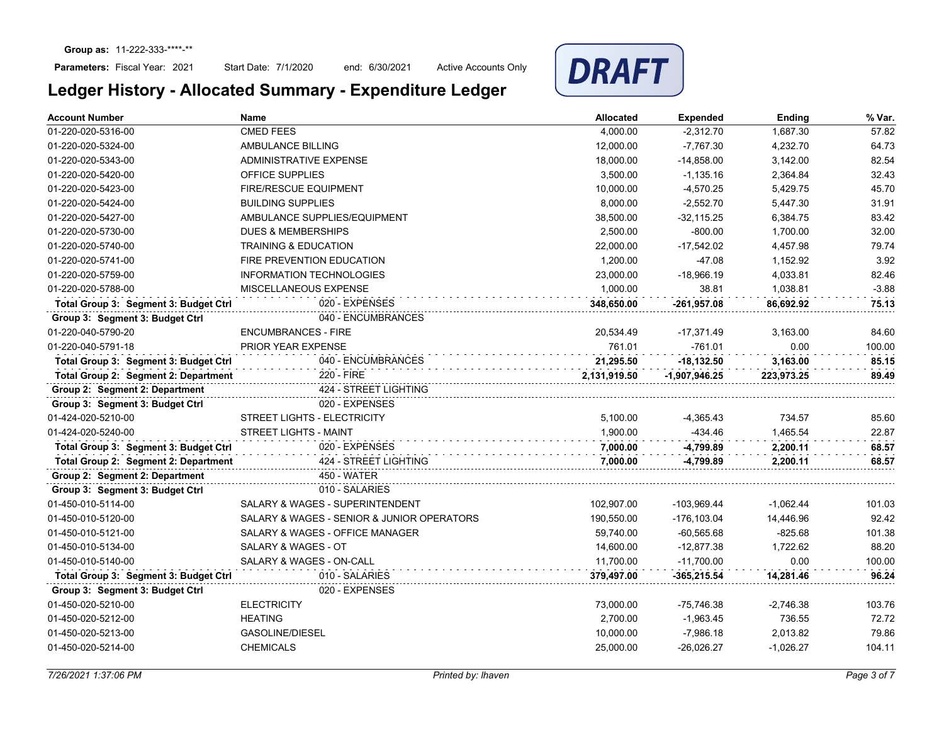Start Date: 7/1/2020 end: 6/30/2021 Active Accounts Only



| <b>Account Number</b>                 | Name                                       | <b>Allocated</b> | <b>Expended</b> | Ending      | % Var.  |
|---------------------------------------|--------------------------------------------|------------------|-----------------|-------------|---------|
| 01-220-020-5316-00                    | <b>CMED FEES</b>                           | 4,000.00         | $-2,312.70$     | 1,687.30    | 57.82   |
| 01-220-020-5324-00                    | AMBULANCE BILLING                          | 12,000.00        | $-7,767.30$     | 4,232.70    | 64.73   |
| 01-220-020-5343-00                    | <b>ADMINISTRATIVE EXPENSE</b>              | 18,000.00        | $-14,858.00$    | 3,142.00    | 82.54   |
| 01-220-020-5420-00                    | <b>OFFICE SUPPLIES</b>                     | 3,500.00         | $-1,135.16$     | 2,364.84    | 32.43   |
| 01-220-020-5423-00                    | <b>FIRE/RESCUE EQUIPMENT</b>               | 10,000.00        | $-4,570.25$     | 5,429.75    | 45.70   |
| 01-220-020-5424-00                    | <b>BUILDING SUPPLIES</b>                   | 8,000.00         | $-2,552.70$     | 5,447.30    | 31.91   |
| 01-220-020-5427-00                    | AMBULANCE SUPPLIES/EQUIPMENT               | 38,500.00        | $-32, 115.25$   | 6,384.75    | 83.42   |
| 01-220-020-5730-00                    | <b>DUES &amp; MEMBERSHIPS</b>              | 2,500.00         | $-800.00$       | 1,700.00    | 32.00   |
| 01-220-020-5740-00                    | <b>TRAINING &amp; EDUCATION</b>            | 22,000.00        | $-17,542.02$    | 4,457.98    | 79.74   |
| 01-220-020-5741-00                    | <b>FIRE PREVENTION EDUCATION</b>           | 1,200.00         | $-47.08$        | 1,152.92    | 3.92    |
| 01-220-020-5759-00                    | <b>INFORMATION TECHNOLOGIES</b>            | 23,000.00        | $-18,966.19$    | 4,033.81    | 82.46   |
| 01-220-020-5788-00                    | MISCELLANEOUS EXPENSE                      | 1,000.00         | 38.81           | 1,038.81    | $-3.88$ |
| Total Group 3: Segment 3: Budget Ctrl | 020 - EXPENSES                             | 348,650.00       | -261,957.08     | 86,692.92   | 75.13   |
| Group 3: Segment 3: Budget Ctrl       | 040 - ENCUMBRANCES                         |                  |                 |             |         |
| 01-220-040-5790-20                    | <b>ENCUMBRANCES - FIRE</b>                 | 20,534.49        | $-17,371.49$    | 3,163.00    | 84.60   |
| 01-220-040-5791-18                    | PRIOR YEAR EXPENSE                         | 761.01           | $-761.01$       | 0.00        | 100.00  |
| Total Group 3: Segment 3: Budget Ctrl | 040 - ENCUMBRANCES                         | 21,295.50        | $-18,132.50$    | 3,163.00    | 85.15   |
| Total Group 2: Segment 2: Department  | 220 - FIRE                                 | 2,131,919.50     | $-1,907,946.25$ | 223,973.25  | 89.49   |
| Group 2: Segment 2: Department        | 424 - STREET LIGHTING                      |                  |                 |             |         |
| Group 3: Segment 3: Budget Ctrl       | 020 - EXPENSES                             |                  |                 |             |         |
| 01-424-020-5210-00                    | STREET LIGHTS - ELECTRICITY                | 5,100.00         | $-4,365.43$     | 734.57      | 85.60   |
| 01-424-020-5240-00                    | <b>STREET LIGHTS - MAINT</b>               | 1,900.00         | $-434.46$       | 1,465.54    | 22.87   |
| Total Group 3: Segment 3: Budget Ctrl | 020 - EXPENSES                             | 7,000.00         | -4,799.89       | 2,200.11    | 68.57   |
| Total Group 2: Segment 2: Department  | 424 - STREET LIGHTING                      | 7,000.00         | -4,799.89       | 2,200.11    | 68.57   |
| Group 2: Segment 2: Department        | 450 - WATER                                |                  |                 |             |         |
| Group 3: Segment 3: Budget Ctrl       | 010 - SALARIES                             |                  |                 |             |         |
| 01-450-010-5114-00                    | <b>SALARY &amp; WAGES - SUPERINTENDENT</b> | 102,907.00       | -103,969.44     | $-1,062.44$ | 101.03  |
| 01-450-010-5120-00                    | SALARY & WAGES - SENIOR & JUNIOR OPERATORS | 190,550.00       | -176,103.04     | 14,446.96   | 92.42   |
| 01-450-010-5121-00                    | SALARY & WAGES - OFFICE MANAGER            | 59,740.00        | $-60,565.68$    | $-825.68$   | 101.38  |
| 01-450-010-5134-00                    | SALARY & WAGES - OT                        | 14,600.00        | $-12,877.38$    | 1,722.62    | 88.20   |
| 01-450-010-5140-00                    | SALARY & WAGES - ON-CALL                   | 11,700.00        | $-11,700.00$    | 0.00        | 100.00  |
| Total Group 3: Segment 3: Budget Ctrl | 010 - SALARIES                             | 379,497.00       | $-365,215.54$   | 14,281.46   | 96.24   |
| Group 3: Segment 3: Budget Ctrl       | 020 - EXPENSES                             |                  |                 |             |         |
| 01-450-020-5210-00                    | <b>ELECTRICITY</b>                         | 73,000.00        | -75,746.38      | $-2,746.38$ | 103.76  |
| 01-450-020-5212-00                    | <b>HEATING</b>                             | 2,700.00         | $-1,963.45$     | 736.55      | 72.72   |
| 01-450-020-5213-00                    | <b>GASOLINE/DIESEL</b>                     | 10,000.00        | $-7,986.18$     | 2,013.82    | 79.86   |
| 01-450-020-5214-00                    | <b>CHEMICALS</b>                           | 25,000.00        | $-26,026.27$    | $-1,026.27$ | 104.11  |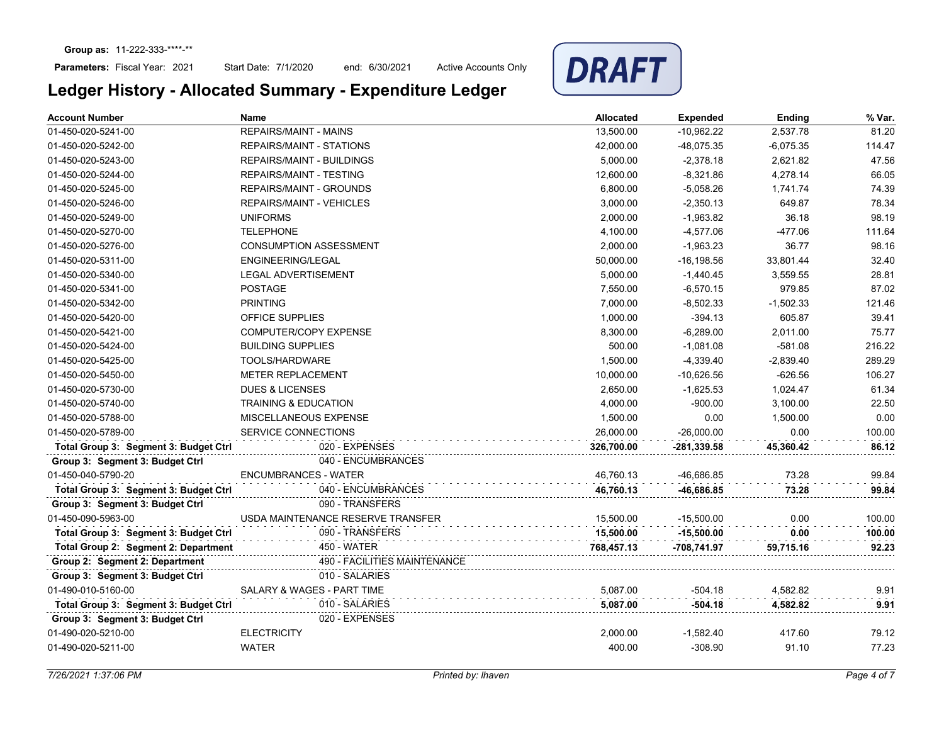Start Date: 7/1/2020 end: 6/30/2021 Active Accounts Only



| <b>Account Number</b>                 | Name                              | <b>Allocated</b> | <b>Expended</b> | Ending      | % Var. |
|---------------------------------------|-----------------------------------|------------------|-----------------|-------------|--------|
| 01-450-020-5241-00                    | <b>REPAIRS/MAINT - MAINS</b>      | 13,500.00        | $-10,962.22$    | 2,537.78    | 81.20  |
| 01-450-020-5242-00                    | REPAIRS/MAINT - STATIONS          | 42,000.00        | -48,075.35      | $-6,075.35$ | 114.47 |
| 01-450-020-5243-00                    | REPAIRS/MAINT - BUILDINGS         | 5,000.00         | $-2,378.18$     | 2,621.82    | 47.56  |
| 01-450-020-5244-00                    | <b>REPAIRS/MAINT - TESTING</b>    | 12,600.00        | $-8,321.86$     | 4,278.14    | 66.05  |
| 01-450-020-5245-00                    | <b>REPAIRS/MAINT - GROUNDS</b>    | 6,800.00         | $-5,058.26$     | 1,741.74    | 74.39  |
| 01-450-020-5246-00                    | <b>REPAIRS/MAINT - VEHICLES</b>   | 3,000.00         | $-2,350.13$     | 649.87      | 78.34  |
| 01-450-020-5249-00                    | <b>UNIFORMS</b>                   | 2,000.00         | $-1,963.82$     | 36.18       | 98.19  |
| 01-450-020-5270-00                    | <b>TELEPHONE</b>                  | 4,100.00         | $-4,577.06$     | $-477.06$   | 111.64 |
| 01-450-020-5276-00                    | <b>CONSUMPTION ASSESSMENT</b>     | 2,000.00         | $-1,963.23$     | 36.77       | 98.16  |
| 01-450-020-5311-00                    | <b>ENGINEERING/LEGAL</b>          | 50,000.00        | $-16, 198.56$   | 33.801.44   | 32.40  |
| 01-450-020-5340-00                    | <b>LEGAL ADVERTISEMENT</b>        | 5,000.00         | $-1,440.45$     | 3,559.55    | 28.81  |
| 01-450-020-5341-00                    | <b>POSTAGE</b>                    | 7,550.00         | $-6,570.15$     | 979.85      | 87.02  |
| 01-450-020-5342-00                    | <b>PRINTING</b>                   | 7,000.00         | $-8,502.33$     | $-1,502.33$ | 121.46 |
| 01-450-020-5420-00                    | OFFICE SUPPLIES                   | 1,000.00         | $-394.13$       | 605.87      | 39.41  |
| 01-450-020-5421-00                    | COMPUTER/COPY EXPENSE             | 8,300.00         | $-6,289.00$     | 2,011.00    | 75.77  |
| 01-450-020-5424-00                    | <b>BUILDING SUPPLIES</b>          | 500.00           | $-1,081.08$     | $-581.08$   | 216.22 |
| 01-450-020-5425-00                    | TOOLS/HARDWARE                    | 1,500.00         | $-4,339.40$     | $-2,839.40$ | 289.29 |
| 01-450-020-5450-00                    | <b>METER REPLACEMENT</b>          | 10,000.00        | $-10,626.56$    | $-626.56$   | 106.27 |
| 01-450-020-5730-00                    | <b>DUES &amp; LICENSES</b>        | 2,650.00         | $-1,625.53$     | 1,024.47    | 61.34  |
| 01-450-020-5740-00                    | <b>TRAINING &amp; EDUCATION</b>   | 4,000.00         | $-900.00$       | 3,100.00    | 22.50  |
| 01-450-020-5788-00                    | <b>MISCELLANEOUS EXPENSE</b>      | 1,500.00         | 0.00            | 1,500.00    | 0.00   |
| 01-450-020-5789-00                    | <b>SERVICE CONNECTIONS</b>        | 26,000.00        | $-26,000.00$    | 0.00        | 100.00 |
| Total Group 3: Segment 3: Budget Ctrl | 020 - EXPENSES                    | 326,700.00       | -281,339.58     | 45,360.42   | 86.12  |
| Group 3: Segment 3: Budget Ctrl       | 040 - ENCUMBRANCES                |                  |                 |             |        |
| 01-450-040-5790-20                    | <b>ENCUMBRANCES - WATER</b>       | 46,760.13        | -46,686.85      | 73.28       | 99.84  |
| Total Group 3: Segment 3: Budget Ctrl | 040 - ENCUMBRANCES                | 46,760.13        | -46,686.85      | 73.28       | 99.84  |
| Group 3: Segment 3: Budget Ctrl       | 090 - TRANSFERS                   |                  |                 |             |        |
| 01-450-090-5963-00                    | USDA MAINTENANCE RESERVE TRANSFER | 15,500.00        | $-15,500.00$    | 0.00        | 100.00 |
| Total Group 3: Segment 3: Budget Ctrl | 090 - TRANSFERS                   | 15.500.00        | $-15,500.00$    | 0.00        | 100.00 |
| Total Group 2: Segment 2: Department  | 450 - WATER                       | 768,457.13       | -708,741.97     | 59,715.16   | 92.23  |
| Group 2: Segment 2: Department        | 490 - FACILITIES MAINTENANCE      |                  |                 |             |        |
| Group 3: Segment 3: Budget Ctrl       | 010 - SALARIES                    |                  |                 |             |        |
| 01-490-010-5160-00                    | SALARY & WAGES - PART TIME        | 5.087.00         | $-504.18$       | 4,582.82    | 9.91   |
| Total Group 3: Segment 3: Budget Ctrl | 010 - SALARIES                    | 5,087.00         | $-504.18$       | 4,582.82    | 9.91   |
| Group 3: Segment 3: Budget Ctrl       | 020 - EXPENSES                    |                  |                 |             |        |
| 01-490-020-5210-00                    | <b>ELECTRICITY</b>                | 2,000.00         | $-1,582.40$     | 417.60      | 79.12  |
| 01-490-020-5211-00                    | <b>WATER</b>                      | 400.00           | $-308.90$       | 91.10       | 77.23  |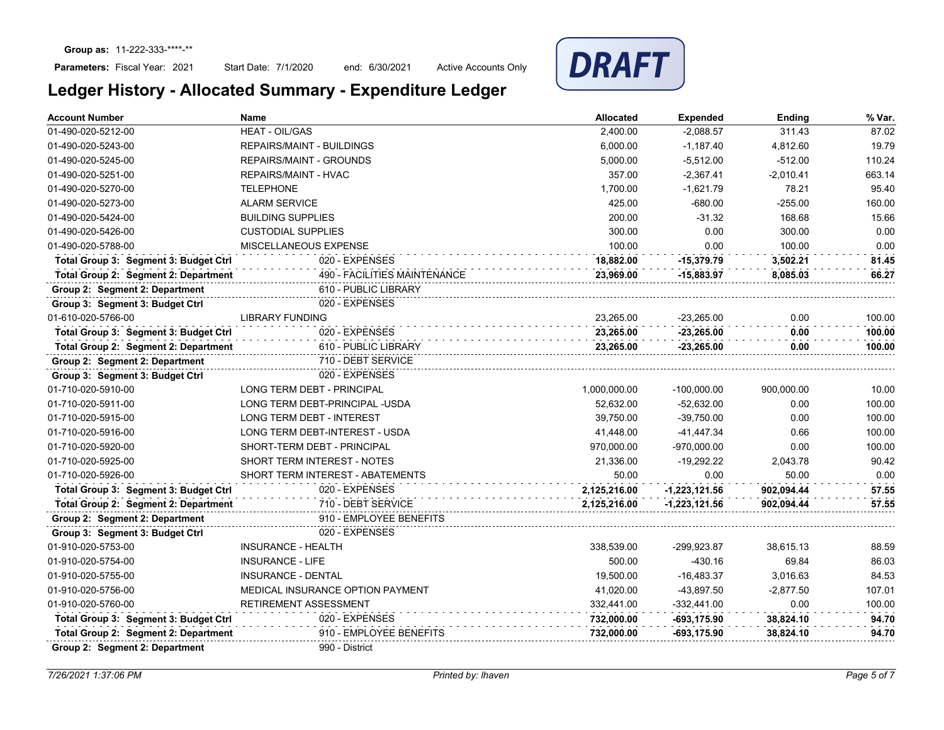Start Date: 7/1/2020 end: 6/30/2021 Active Accounts Only



| <b>Account Number</b>                 | <b>Name</b>                           | <b>Allocated</b> | <b>Expended</b> | Ending      | % Var. |
|---------------------------------------|---------------------------------------|------------------|-----------------|-------------|--------|
| 01-490-020-5212-00                    | <b>HEAT - OIL/GAS</b>                 | 2,400.00         | $-2,088.57$     | 311.43      | 87.02  |
| 01-490-020-5243-00                    | <b>REPAIRS/MAINT - BUILDINGS</b>      | 6,000.00         | $-1,187.40$     | 4,812.60    | 19.79  |
| 01-490-020-5245-00                    | <b>REPAIRS/MAINT - GROUNDS</b>        | 5,000.00         | $-5,512.00$     | $-512.00$   | 110.24 |
| 01-490-020-5251-00                    | <b>REPAIRS/MAINT - HVAC</b>           | 357.00           | -2,367.41       | -2,010.41   | 663.14 |
| 01-490-020-5270-00                    | <b>TELEPHONE</b>                      | 1,700.00         | $-1.621.79$     | 78.21       | 95.40  |
| 01-490-020-5273-00                    | <b>ALARM SERVICE</b>                  | 425.00           | $-680.00$       | $-255.00$   | 160.00 |
| 01-490-020-5424-00                    | <b>BUILDING SUPPLIES</b>              | 200.00           | $-31.32$        | 168.68      | 15.66  |
| 01-490-020-5426-00                    | <b>CUSTODIAL SUPPLIES</b>             | 300.00           | 0.00            | 300.00      | 0.00   |
| 01-490-020-5788-00                    | MISCELLANEOUS EXPENSE                 | 100.00           | 0.00            | 100.00      | 0.00   |
| Total Group 3: Segment 3: Budget Ctrl | 020 - EXPENSES                        | 18,882.00        | $-15,379.79$    | 3,502.21    | 81.45  |
| Total Group 2: Segment 2: Department  | 490 - FACILITIES MAINTENANCE          | 23.969.00        | $-15,883.97$    | 8.085.03    | 66.27  |
| Group 2: Segment 2: Department        | 610 - PUBLIC LIBRARY                  |                  |                 |             |        |
| Group 3: Segment 3: Budget Ctrl       | 020 - EXPENSES                        |                  |                 |             |        |
| 01-610-020-5766-00                    | <b>LIBRARY FUNDING</b>                | 23,265.00        | $-23,265.00$    | 0.00        | 100.00 |
| Total Group 3: Segment 3: Budget Ctrl | 020 - EXPENSES                        | 23,265.00        | $-23,265.00$    | 0.00        | 100.00 |
| Total Group 2: Segment 2: Department  | 610 - PUBLIC LIBRARY                  | 23,265.00        | $-23,265.00$    | 0.00        | 100.00 |
| Group 2: Segment 2: Department        | 710 - DEBT SERVICE                    |                  |                 |             |        |
| Group 3: Segment 3: Budget Ctrl       | 020 - EXPENSES                        |                  |                 |             |        |
| 01-710-020-5910-00                    | <b>LONG TERM DEBT - PRINCIPAL</b>     | 1,000,000.00     | $-100,000.00$   | 900.000.00  | 10.00  |
| 01-710-020-5911-00                    | LONG TERM DEBT-PRINCIPAL -USDA        | 52.632.00        | $-52,632.00$    | 0.00        | 100.00 |
| 01-710-020-5915-00                    | <b>LONG TERM DEBT - INTEREST</b>      | 39.750.00        | $-39.750.00$    | 0.00        | 100.00 |
| 01-710-020-5916-00                    | <b>LONG TERM DEBT-INTEREST - USDA</b> | 41,448.00        | $-41,447.34$    | 0.66        | 100.00 |
| 01-710-020-5920-00                    | SHORT-TERM DEBT - PRINCIPAL           | 970,000.00       | $-970,000.00$   | 0.00        | 100.00 |
| 01-710-020-5925-00                    | <b>SHORT TERM INTEREST - NOTES</b>    | 21,336.00        | $-19,292.22$    | 2,043.78    | 90.42  |
| 01-710-020-5926-00                    | SHORT TERM INTEREST - ABATEMENTS      | 50.00            | 0.00            | 50.00       | 0.00   |
| Total Group 3: Segment 3: Budget Ctrl | 020 - EXPENSES                        | 2,125,216.00     | $-1,223,121.56$ | 902,094.44  | 57.55  |
| Total Group 2: Segment 2: Department  | 710 - DEBT SERVICE                    | 2,125,216.00     | $-1,223,121.56$ | 902.094.44  | 57.55  |
| Group 2: Segment 2: Department        | 910 - EMPLOYEE BENEFITS               |                  |                 |             |        |
| Group 3: Segment 3: Budget Ctrl       | 020 - EXPENSES                        |                  |                 |             |        |
| 01-910-020-5753-00                    | <b>INSURANCE - HEALTH</b>             | 338,539.00       | -299,923.87     | 38,615.13   | 88.59  |
| 01-910-020-5754-00                    | <b>INSURANCE - LIFE</b>               | 500.00           | $-430.16$       | 69.84       | 86.03  |
| 01-910-020-5755-00                    | <b>INSURANCE - DENTAL</b>             | 19,500.00        | $-16,483.37$    | 3,016.63    | 84.53  |
| 01-910-020-5756-00                    | MEDICAL INSURANCE OPTION PAYMENT      | 41,020.00        | -43,897.50      | $-2,877.50$ | 107.01 |
| 01-910-020-5760-00                    | RETIREMENT ASSESSMENT                 | 332,441.00       | $-332,441.00$   | 0.00        | 100.00 |
| Total Group 3: Segment 3: Budget Ctrl | 020 - EXPENSES                        | 732,000.00       | -693,175.90     | 38,824.10   | 94.70  |
| Total Group 2: Segment 2: Department  | 910 - EMPLOYEE BENEFITS               | 732,000.00       | -693,175.90     | 38,824.10   | 94.70  |
| Group 2: Segment 2: Department        | 990 - District                        |                  |                 |             |        |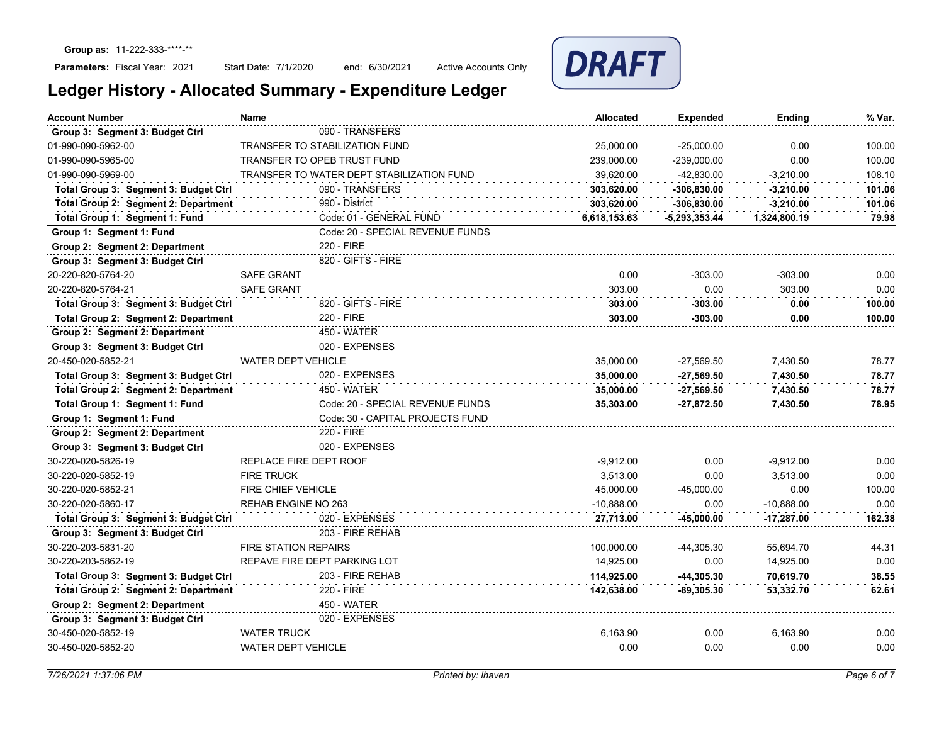Start Date: 7/1/2020 end: 6/30/2021 Active Accounts Only



| <b>Account Number</b>                 | <b>Name</b>                               | <b>Allocated</b> | <b>Expended</b> | Ending       | % Var. |
|---------------------------------------|-------------------------------------------|------------------|-----------------|--------------|--------|
| Group 3: Segment 3: Budget Ctrl       | 090 - TRANSFERS                           |                  |                 |              |        |
| 01-990-090-5962-00                    | <b>TRANSFER TO STABILIZATION FUND</b>     | 25.000.00        | $-25.000.00$    | 0.00         | 100.00 |
| 01-990-090-5965-00                    | <b>TRANSFER TO OPEB TRUST FUND</b>        | 239.000.00       | -239.000.00     | 0.00         | 100.00 |
| 01-990-090-5969-00                    | TRANSFER TO WATER DEPT STABILIZATION FUND | 39,620.00        | $-42,830.00$    | $-3,210.00$  | 108.10 |
| Total Group 3: Segment 3: Budget Ctrl | 090 - TRANSFERS                           | 303,620.00       | $-306,830.00$   | $-3,210.00$  | 101.06 |
| Total Group 2: Segment 2: Department  | 990 - District                            | 303,620.00       | $-306,830.00$   | $-3,210.00$  | 101.06 |
| Total Group 1: Segment 1: Fund        | Code: 01 - GENERAL FUND                   | 6,618,153.63     | $-5,293,353.44$ | 1,324,800.19 | 79.98  |
| Group 1: Segment 1: Fund              | Code: 20 - SPECIAL REVENUE FUNDS          |                  |                 |              |        |
| Group 2: Segment 2: Department        | 220 - FIRE                                |                  |                 |              |        |
| Group 3: Segment 3: Budget Ctrl       | 820 - GIFTS - FIRE                        |                  |                 |              |        |
| 20-220-820-5764-20                    | SAFE GRANT                                | 0.00             | $-303.00$       | $-303.00$    | 0.00   |
| 20-220-820-5764-21                    | <b>SAFE GRANT</b>                         | 303.00           | 0.00            | 303.00       | 0.00   |
| Total Group 3: Segment 3: Budget Ctrl | 820 - GIFTS - FIRE                        | 303.00           | $-303.00$       | 0.00         | 100.00 |
| Total Group 2: Segment 2: Department  | 220 - FIRE                                | 303.00           | $-303.00$       | 0.00         | 100.00 |
| Group 2: Segment 2: Department        | 450 - WATER                               |                  |                 |              |        |
| Group 3: Segment 3: Budget Ctrl       | 020 - EXPENSES                            |                  |                 |              |        |
| 20-450-020-5852-21                    | WATER DEPT VEHICLE                        | 35,000.00        | $-27,569.50$    | 7,430.50     | 78.77  |
| Total Group 3: Segment 3: Budget Ctrl | 020 - EXPENSES                            | 35,000.00        | $-27,569.50$    | 7,430.50     | 78.77  |
| Total Group 2: Segment 2: Department  | 450 - WATER                               | 35,000.00        | $-27,569.50$    | 7,430.50     | 78.77  |
| Total Group 1: Segment 1: Fund        | Code: 20 - SPECIAL REVENUE FUNDS          | 35,303.00        | $-27,872.50$    | 7,430.50     | 78.95  |
| Group 1: Segment 1: Fund              | Code: 30 - CAPITAL PROJECTS FUND          |                  |                 |              |        |
| Group 2: Segment 2: Department        | 220 - FIRE                                |                  |                 |              |        |
| Group 3: Segment 3: Budget Ctrl       | 020 - EXPENSES                            |                  |                 |              |        |
| 30-220-020-5826-19                    | REPLACE FIRE DEPT ROOF                    | $-9,912.00$      | 0.00            | $-9,912.00$  | 0.00   |
| 30-220-020-5852-19                    | <b>FIRE TRUCK</b>                         | 3,513.00         | 0.00            | 3,513.00     | 0.00   |
| 30-220-020-5852-21                    | FIRE CHIEF VEHICLE                        | 45,000.00        | $-45,000.00$    | 0.00         | 100.00 |
| 30-220-020-5860-17                    | REHAB ENGINE NO 263                       | $-10,888.00$     | 0.00            | $-10,888.00$ | 0.00   |
| Total Group 3: Segment 3: Budget Ctrl | 020 - EXPENSES                            | 27,713.00        | -45,000.00      | $-17,287.00$ | 162.38 |
| Group 3: Segment 3: Budget Ctrl       | 203 - FIRE REHAB                          |                  |                 |              |        |
| 30-220-203-5831-20                    | <b>FIRE STATION REPAIRS</b>               | 100,000.00       | -44,305.30      | 55,694.70    | 44.31  |
| 30-220-203-5862-19                    | REPAVE FIRE DEPT PARKING LOT              | 14,925.00        | 0.00            | 14,925.00    | 0.00   |
| Total Group 3: Segment 3: Budget Ctrl | 203 - FIRE REHAB                          | 114,925.00       | $-44,305.30$    | 70,619.70    | 38.55  |
| Total Group 2: Segment 2: Department  | 220 - FIRE                                | 142,638.00       | -89,305.30      | 53,332.70    | 62.61  |
| Group 2: Segment 2: Department        | 450 - WATER                               |                  |                 |              |        |
| Group 3: Segment 3: Budget Ctrl       | 020 - EXPENSES                            |                  |                 |              |        |
| 30-450-020-5852-19                    | <b>WATER TRUCK</b>                        | 6,163.90         | 0.00            | 6,163.90     | 0.00   |
| 30-450-020-5852-20                    | <b>WATER DEPT VEHICLE</b>                 | 0.00             | 0.00            | 0.00         | 0.00   |